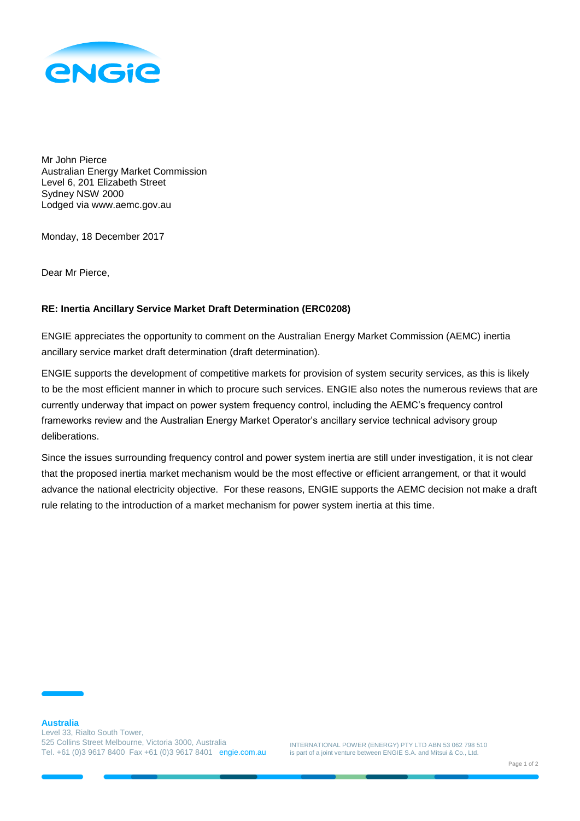

Mr John Pierce Australian Energy Market Commission Level 6, 201 Elizabeth Street Sydney NSW 2000 Lodged via www.aemc.gov.au

Monday, 18 December 2017

Dear Mr Pierce,

## **RE: Inertia Ancillary Service Market Draft Determination (ERC0208)**

ENGIE appreciates the opportunity to comment on the Australian Energy Market Commission (AEMC) inertia ancillary service market draft determination (draft determination).

ENGIE supports the development of competitive markets for provision of system security services, as this is likely to be the most efficient manner in which to procure such services. ENGIE also notes the numerous reviews that are currently underway that impact on power system frequency control, including the AEMC's frequency control frameworks review and the Australian Energy Market Operator's ancillary service technical advisory group deliberations.

Since the issues surrounding frequency control and power system inertia are still under investigation, it is not clear that the proposed inertia market mechanism would be the most effective or efficient arrangement, or that it would advance the national electricity objective. For these reasons, ENGIE supports the AEMC decision not make a draft rule relating to the introduction of a market mechanism for power system inertia at this time.